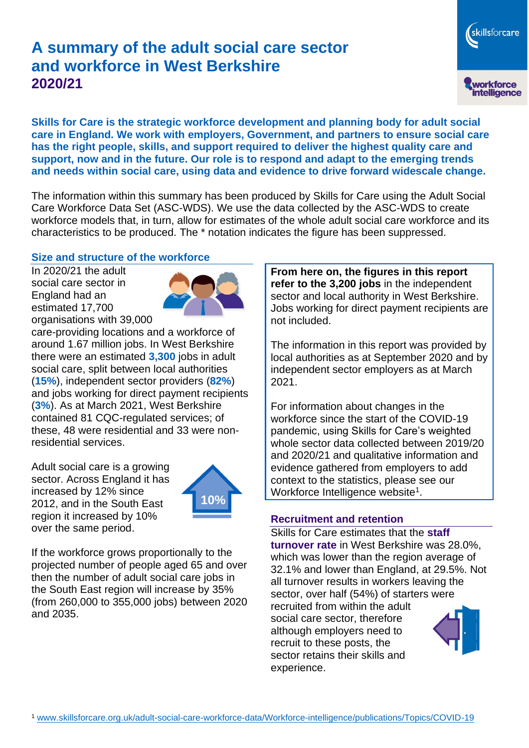# **A summary of the adult social care sector and workforce in West Berkshire 2020/21**

skillsforcare workforce<br>intelligence

**Skills for Care is the strategic workforce development and planning body for adult social care in England. We work with employers, Government, and partners to ensure social care has the right people, skills, and support required to deliver the highest quality care and support, now and in the future. Our role is to respond and adapt to the emerging trends and needs within social care, using data and evidence to drive forward widescale change.**

The information within this summary has been produced by Skills for Care using the Adult Social Care Workforce Data Set (ASC-WDS). We use the data collected by the ASC-WDS to create workforce models that, in turn, allow for estimates of the whole adult social care workforce and its characteristics to be produced. The \* notation indicates the figure has been suppressed.

## **Size and structure of the workforce**

In 2020/21 the adult social care sector in England had an estimated 17,700 organisations with 39,000



care-providing locations and a workforce of around 1.67 million jobs. In West Berkshire there were an estimated **3,300** jobs in adult social care, split between local authorities (**15%**), independent sector providers (**82%**) and jobs working for direct payment recipients (**3%**). As at March 2021, West Berkshire contained 81 CQC-regulated services; of these, 48 were residential and 33 were nonresidential services.

Adult social care is a growing sector. Across England it has increased by 12% since 2012, and in the South East region it increased by 10% over the same period.



If the workforce grows proportionally to the projected number of people aged 65 and over then the number of adult social care jobs in the South East region will increase by 35% (from 260,000 to 355,000 jobs) between 2020 and 2035.

**From here on, the figures in this report refer to the 3,200 jobs** in the independent sector and local authority in West Berkshire. Jobs working for direct payment recipients are not included.

The information in this report was provided by local authorities as at September 2020 and by independent sector employers as at March 2021.

For information about changes in the workforce since the start of the COVID-19 pandemic, using Skills for Care's weighted whole sector data collected between 2019/20 and 2020/21 and qualitative information and evidence gathered from employers to add context to the statistics, please see our Workforce Intelligence website<sup>1</sup>.

## **Recruitment and retention**

Skills for Care estimates that the **staff turnover rate** in West Berkshire was 28.0%, which was lower than the region average of 32.1% and lower than England, at 29.5%. Not all turnover results in workers leaving the sector, over half (54%) of starters were recruited from within the adult social care sector, therefore although employers need to recruit to these posts, the sector retains their skills and experience.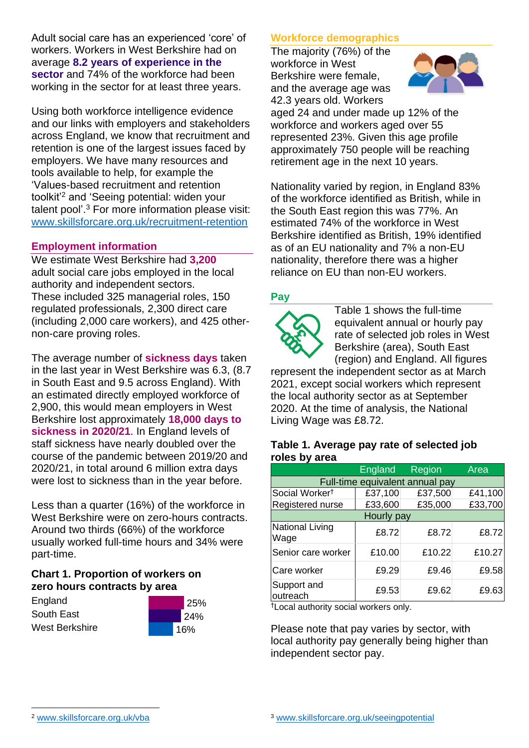Adult social care has an experienced 'core' of workers. Workers in West Berkshire had on average **8.2 years of experience in the sector** and 74% of the workforce had been working in the sector for at least three years.

Using both workforce intelligence evidence and our links with employers and stakeholders across England, we know that recruitment and retention is one of the largest issues faced by employers. We have many resources and tools available to help, for example the 'Values-based recruitment and retention toolkit'<sup>2</sup> and 'Seeing potential: widen your talent pool'. <sup>3</sup> For more information please visit: [www.skillsforcare.org.uk/recruitment-retention](http://www.skillsforcare.org.uk/recruitment-retention)

## **Employment information**

We estimate West Berkshire had **3,200** adult social care jobs employed in the local authority and independent sectors. These included 325 managerial roles, 150 regulated professionals, 2,300 direct care (including 2,000 care workers), and 425 othernon-care proving roles.

The average number of **sickness days** taken in the last year in West Berkshire was 6.3, (8.7 in South East and 9.5 across England). With an estimated directly employed workforce of 2,900, this would mean employers in West Berkshire lost approximately **18,000 days to sickness in 2020/21**. In England levels of staff sickness have nearly doubled over the course of the pandemic between 2019/20 and 2020/21, in total around 6 million extra days were lost to sickness than in the year before.

Less than a quarter (16%) of the workforce in West Berkshire were on zero-hours contracts. Around two thirds (66%) of the workforce usually worked full-time hours and 34% were part-time.

# **Chart 1. Proportion of workers on zero hours contracts by area**

**England** South East West Berkshire



## **Workforce demographics**

The majority (76%) of the workforce in West Berkshire were female, and the average age was 42.3 years old. Workers



aged 24 and under made up 12% of the workforce and workers aged over 55 represented 23%. Given this age profile approximately 750 people will be reaching retirement age in the next 10 years.

Nationality varied by region, in England 83% of the workforce identified as British, while in the South East region this was 77%. An estimated 74% of the workforce in West Berkshire identified as British, 19% identified as of an EU nationality and 7% a non-EU nationality, therefore there was a higher reliance on EU than non-EU workers.

#### **Pay**



Table 1 shows the full-time equivalent annual or hourly pay rate of selected job roles in West Berkshire (area), South East (region) and England. All figures

represent the independent sector as at March 2021, except social workers which represent the local authority sector as at September 2020. At the time of analysis, the National Living Wage was £8.72.

#### **Table 1. Average pay rate of selected job roles by area**

|                                 | England | Region  | Area    |
|---------------------------------|---------|---------|---------|
| Full-time equivalent annual pay |         |         |         |
| Social Worker <sup>t</sup>      | £37,100 | £37,500 | £41,100 |
| Registered nurse                | £33,600 | £35,000 | £33,700 |
| Hourly pay                      |         |         |         |
| National Living<br>Wage         | £8.72   | £8.72   | £8.72   |
| Senior care worker              | £10.00  | £10.22  | £10.27  |
| Care worker                     | £9.29   | £9.46   | £9.58   |
| Support and<br>outreach         | £9.53   | £9.62   | £9.63   |

†Local authority social workers only.

Please note that pay varies by sector, with local authority pay generally being higher than independent sector pay.

[www.skillsforcare.org.uk/vba](http://www.skillsforcare.org.uk/vba)